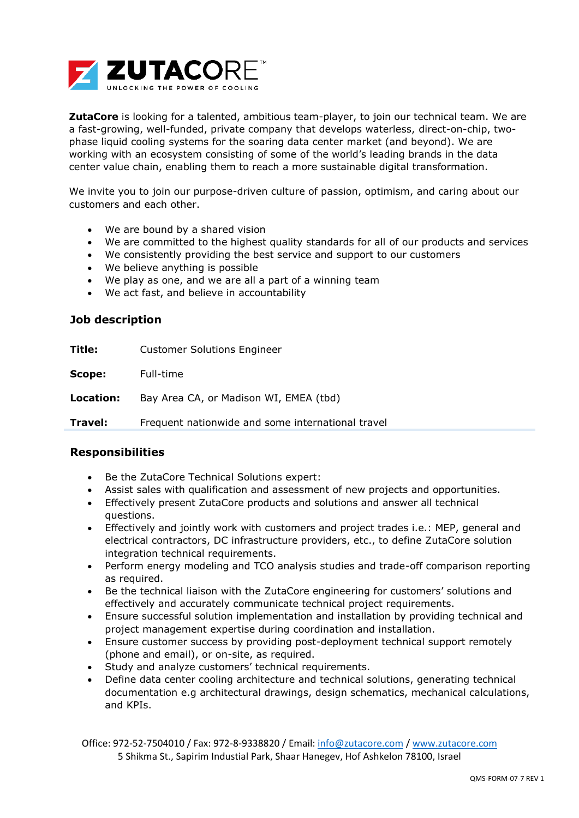

**ZutaCore** is looking for a talented, ambitious team-player, to join our technical team. We are a fast-growing, well-funded, private company that develops waterless, direct-on-chip, twophase liquid cooling systems for the soaring data center market (and beyond). We are working with an ecosystem consisting of some of the world's leading brands in the data center value chain, enabling them to reach a more sustainable digital transformation.

We invite you to join our purpose-driven culture of passion, optimism, and caring about our customers and each other.

- We are bound by a shared vision
- We are committed to the highest quality standards for all of our products and services
- We consistently providing the best service and support to our customers
- We believe anything is possible
- We play as one, and we are all a part of a winning team
- We act fast, and believe in accountability

## **Job description**

| Title:    | <b>Customer Solutions Engineer</b>                |
|-----------|---------------------------------------------------|
| Scope:    | Full-time                                         |
| Location: | Bay Area CA, or Madison WI, EMEA (tbd)            |
| Travel:   | Frequent nationwide and some international travel |

## **Responsibilities**

- Be the ZutaCore Technical Solutions expert:
- Assist sales with qualification and assessment of new projects and opportunities.
- Effectively present ZutaCore products and solutions and answer all technical questions.
- Effectively and jointly work with customers and project trades i.e.: MEP, general and electrical contractors, DC infrastructure providers, etc., to define ZutaCore solution integration technical requirements.
- Perform energy modeling and TCO analysis studies and trade-off comparison reporting as required.
- Be the technical liaison with the ZutaCore engineering for customers' solutions and effectively and accurately communicate technical project requirements.
- Ensure successful solution implementation and installation by providing technical and project management expertise during coordination and installation.
- Ensure customer success by providing post-deployment technical support remotely (phone and email), or on-site, as required.
- Study and analyze customers' technical requirements.
- Define data center cooling architecture and technical solutions, generating technical documentation e.g architectural drawings, design schematics, mechanical calculations, and KPIs.

Office: 972-52-7504010 / Fax: 972-8-9338820 / Email: [info@zutacore.com](mailto:info@zutacore.com) / [www.zutacore.com](http://www.zutacore.com/) 5 Shikma St., Sapirim Industial Park, Shaar Hanegev, Hof Ashkelon 78100, Israel